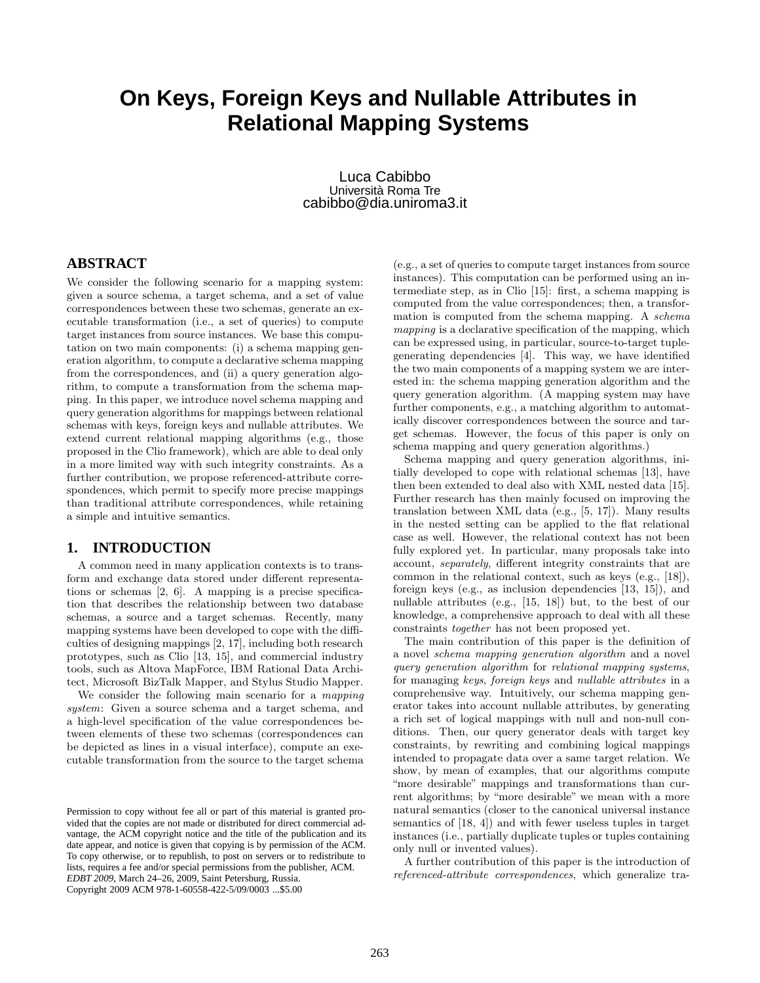# **On Keys, Foreign Keys and Nullable Attributes in Relational Mapping Systems**

Luca Cabibbo Università Roma Tre cabibbo@dia.uniroma3.it

# **ABSTRACT**

We consider the following scenario for a mapping system: given a source schema, a target schema, and a set of value correspondences between these two schemas, generate an executable transformation (i.e., a set of queries) to compute target instances from source instances. We base this computation on two main components: (i) a schema mapping generation algorithm, to compute a declarative schema mapping from the correspondences, and (ii) a query generation algorithm, to compute a transformation from the schema mapping. In this paper, we introduce novel schema mapping and query generation algorithms for mappings between relational schemas with keys, foreign keys and nullable attributes. We extend current relational mapping algorithms (e.g., those proposed in the Clio framework), which are able to deal only in a more limited way with such integrity constraints. As a further contribution, we propose referenced-attribute correspondences, which permit to specify more precise mappings than traditional attribute correspondences, while retaining a simple and intuitive semantics.

#### **1. INTRODUCTION**

A common need in many application contexts is to transform and exchange data stored under different representations or schemas [2, 6]. A mapping is a precise specification that describes the relationship between two database schemas, a source and a target schemas. Recently, many mapping systems have been developed to cope with the difficulties of designing mappings [2, 17], including both research prototypes, such as Clio [13, 15], and commercial industry tools, such as Altova MapForce, IBM Rational Data Architect, Microsoft BizTalk Mapper, and Stylus Studio Mapper.

We consider the following main scenario for a *mapping system*: Given a source schema and a target schema, and a high-level specification of the value correspondences between elements of these two schemas (correspondences can be depicted as lines in a visual interface), compute an executable transformation from the source to the target schema

(e.g., a set of queries to compute target instances from source instances). This computation can be performed using an intermediate step, as in Clio [15]: first, a schema mapping is computed from the value correspondences; then, a transformation is computed from the schema mapping. A *schema mapping* is a declarative specification of the mapping, which can be expressed using, in particular, source-to-target tuplegenerating dependencies [4]. This way, we have identified the two main components of a mapping system we are interested in: the schema mapping generation algorithm and the query generation algorithm. (A mapping system may have further components, e.g., a matching algorithm to automatically discover correspondences between the source and target schemas. However, the focus of this paper is only on schema mapping and query generation algorithms.)

Schema mapping and query generation algorithms, initially developed to cope with relational schemas [13], have then been extended to deal also with XML nested data [15]. Further research has then mainly focused on improving the translation between XML data (e.g., [5, 17]). Many results in the nested setting can be applied to the flat relational case as well. However, the relational context has not been fully explored yet. In particular, many proposals take into account, *separately*, different integrity constraints that are common in the relational context, such as keys (e.g., [18]), foreign keys (e.g., as inclusion dependencies [13, 15]), and nullable attributes (e.g., [15, 18]) but, to the best of our knowledge, a comprehensive approach to deal with all these constraints *together* has not been proposed yet.

The main contribution of this paper is the definition of a novel *schema mapping generation algorithm* and a novel *query generation algorithm* for *relational mapping systems*, for managing *keys*, *foreign keys* and *nullable attributes* in a comprehensive way. Intuitively, our schema mapping generator takes into account nullable attributes, by generating a rich set of logical mappings with null and non-null conditions. Then, our query generator deals with target key constraints, by rewriting and combining logical mappings intended to propagate data over a same target relation. We show, by mean of examples, that our algorithms compute "more desirable" mappings and transformations than current algorithms; by "more desirable" we mean with a more natural semantics (closer to the canonical universal instance semantics of [18, 4]) and with fewer useless tuples in target instances (i.e., partially duplicate tuples or tuples containing only null or invented values).

A further contribution of this paper is the introduction of *referenced-attribute correspondences*, which generalize tra-

Permission to copy without fee all or part of this material is granted provided that the copies are not made or distributed for direct commercial advantage, the ACM copyright notice and the title of the publication and its date appear, and notice is given that copying is by permission of the ACM. To copy otherwise, or to republish, to post on servers or to redistribute to lists, requires a fee and/or special permissions from the publisher, ACM. *EDBT 2009*, March 24–26, 2009, Saint Petersburg, Russia. Copyright 2009 ACM 978-1-60558-422-5/09/0003 ...\$5.00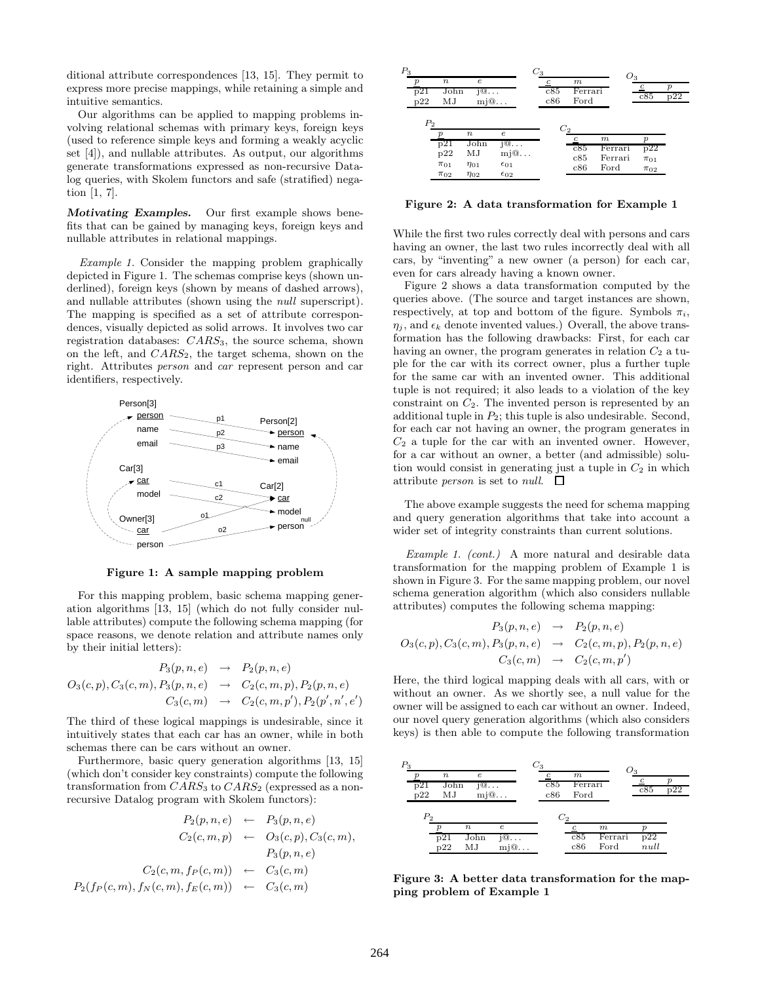ditional attribute correspondences [13, 15]. They permit to express more precise mappings, while retaining a simple and intuitive semantics.

Our algorithms can be applied to mapping problems involving relational schemas with primary keys, foreign keys (used to reference simple keys and forming a weakly acyclic set [4]), and nullable attributes. As output, our algorithms generate transformations expressed as non-recursive Datalog queries, with Skolem functors and safe (stratified) negation [1, 7].

*Motivating Examples.* Our first example shows benefits that can be gained by managing keys, foreign keys and nullable attributes in relational mappings.

*Example 1.* Consider the mapping problem graphically depicted in Figure 1. The schemas comprise keys (shown underlined), foreign keys (shown by means of dashed arrows), and nullable attributes (shown using the *null* superscript). The mapping is specified as a set of attribute correspondences, visually depicted as solid arrows. It involves two car registration databases:  $CARS<sub>3</sub>$ , the source schema, shown on the left, and  $CARS_2$ , the target schema, shown on the right. Attributes *person* and *car* represent person and car identifiers, respectively.



**Figure 1: A sample mapping problem**

For this mapping problem, basic schema mapping generation algorithms [13, 15] (which do not fully consider nullable attributes) compute the following schema mapping (for space reasons, we denote relation and attribute names only by their initial letters):

$$
P_3(p, n, e) \rightarrow P_2(p, n, e)
$$
  
\n
$$
O_3(c, p), C_3(c, m), P_3(p, n, e) \rightarrow C_2(c, m, p), P_2(p, n, e)
$$
  
\n
$$
C_3(c, m) \rightarrow C_2(c, m, p'), P_2(p', n', e')
$$

The third of these logical mappings is undesirable, since it intuitively states that each car has an owner, while in both schemas there can be cars without an owner.

Furthermore, basic query generation algorithms [13, 15] (which don't consider key constraints) compute the following transformation from  $CARS_3$  to  $CARS_2$  (expressed as a nonrecursive Datalog program with Skolem functors):

$$
P_2(p, n, e) \leftarrow P_3(p, n, e)
$$
  
\n
$$
C_2(c, m, p) \leftarrow O_3(c, p), C_3(c, m),
$$
  
\n
$$
P_3(p, n, e)
$$
  
\n
$$
C_2(c, m, f_P(c, m)) \leftarrow C_3(c, m)
$$
  
\n
$$
P_2(f_P(c, m), f_N(c, m), f_E(c, m)) \leftarrow C_3(c, m)
$$



**Figure 2: A data transformation for Example 1**

While the first two rules correctly deal with persons and cars having an owner, the last two rules incorrectly deal with all cars, by "inventing" a new owner (a person) for each car, even for cars already having a known owner.

Figure 2 shows a data transformation computed by the queries above. (The source and target instances are shown, respectively, at top and bottom of the figure. Symbols  $\pi_i$ ,  $\eta_i$ , and  $\epsilon_k$  denote invented values.) Overall, the above transformation has the following drawbacks: First, for each car having an owner, the program generates in relation  $C_2$  a tuple for the car with its correct owner, plus a further tuple for the same car with an invented owner. This additional tuple is not required; it also leads to a violation of the key constraint on  $C_2$ . The invented person is represented by an additional tuple in  $P_2$ ; this tuple is also undesirable. Second, for each car not having an owner, the program generates in  $C_2$  a tuple for the car with an invented owner. However, for a car without an owner, a better (and admissible) solution would consist in generating just a tuple in  $C_2$  in which attribute *person* is set to *null*.  $\Box$ 

The above example suggests the need for schema mapping and query generation algorithms that take into account a wider set of integrity constraints than current solutions.

*Example 1. (cont.)* A more natural and desirable data transformation for the mapping problem of Example 1 is shown in Figure 3. For the same mapping problem, our novel schema generation algorithm (which also considers nullable attributes) computes the following schema mapping:

$$
P_3(p, n, e) \rightarrow P_2(p, n, e)
$$
  
\n
$$
O_3(c, p), C_3(c, m), P_3(p, n, e) \rightarrow C_2(c, m, p), P_2(p, n, e)
$$
  
\n
$$
C_3(c, m) \rightarrow C_2(c, m, p')
$$

Here, the third logical mapping deals with all cars, with or without an owner. As we shortly see, a null value for the owner will be assigned to each car without an owner. Indeed, our novel query generation algorithms (which also considers keys) is then able to compute the following transformation



**Figure 3: A better data transformation for the mapping problem of Example 1**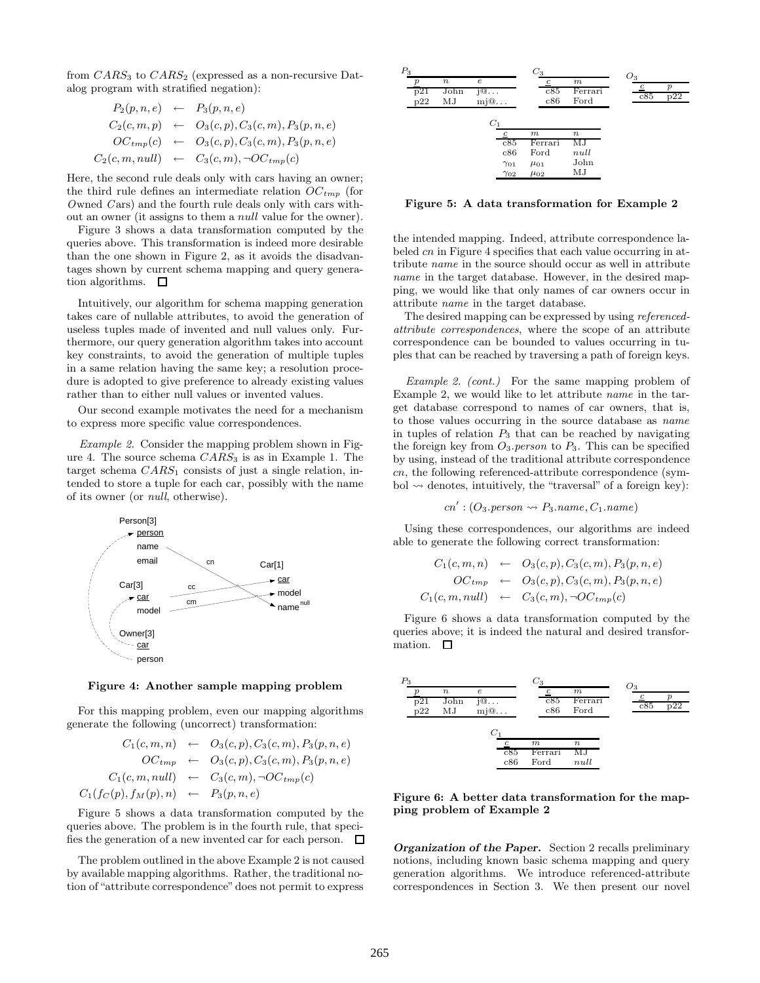from  $CARS_3$  to  $CARS_2$  (expressed as a non-recursive Datalog program with stratified negation):

$$
P_2(p, n, e) \leftarrow P_3(p, n, e)
$$
  
\n
$$
C_2(c, m, p) \leftarrow O_3(c, p), C_3(c, m), P_3(p, n, e)
$$
  
\n
$$
OC_{tmp}(c) \leftarrow O_3(c, p), C_3(c, m), P_3(p, n, e)
$$
  
\n
$$
C_2(c, m, null) \leftarrow C_3(c, m), \neg OC_{tmp}(c)
$$

Here, the second rule deals only with cars having an owner; the third rule defines an intermediate relation OC*tmp* (for *O*wned *C* ars) and the fourth rule deals only with cars without an owner (it assigns to them a null value for the owner).

Figure 3 shows a data transformation computed by the queries above. This transformation is indeed more desirable than the one shown in Figure 2, as it avoids the disadvantages shown by current schema mapping and query generation algorithms.  $\square$ 

Intuitively, our algorithm for schema mapping generation takes care of nullable attributes, to avoid the generation of useless tuples made of invented and null values only. Furthermore, our query generation algorithm takes into account key constraints, to avoid the generation of multiple tuples in a same relation having the same key; a resolution procedure is adopted to give preference to already existing values rather than to either null values or invented values.

Our second example motivates the need for a mechanism to express more specific value correspondences.

*Example 2.* Consider the mapping problem shown in Figure 4. The source schema  $CARS_3$  is as in Example 1. The target schema  $CARS<sub>1</sub>$  consists of just a single relation, intended to store a tuple for each car, possibly with the name of its owner (or *null*, otherwise).



**Figure 4: Another sample mapping problem**

For this mapping problem, even our mapping algorithms generate the following (uncorrect) transformation:

$$
C_1(c, m, n) \leftarrow O_3(c, p), C_3(c, m), P_3(p, n, e)
$$
  
\n
$$
OC_{tmp} \leftarrow O_3(c, p), C_3(c, m), P_3(p, n, e)
$$
  
\n
$$
C_1(c, m, null) \leftarrow C_3(c, m), \neg OC_{tmp}(c)
$$
  
\n
$$
C_1(f_C(p), f_M(p), n) \leftarrow P_3(p, n, e)
$$

Figure 5 shows a data transformation computed by the queries above. The problem is in the fourth rule, that specifies the generation of a new invented car for each person.  $\Box$ 

The problem outlined in the above Example 2 is not caused by available mapping algorithms. Rather, the traditional notion of "attribute correspondence" does not permit to express



**Figure 5: A data transformation for Example 2**

the intended mapping. Indeed, attribute correspondence labeled cn in Figure 4 specifies that each value occurring in attribute *name* in the source should occur as well in attribute *name* in the target database. However, in the desired mapping, we would like that only names of car owners occur in attribute *name* in the target database.

The desired mapping can be expressed by using *referencedattribute correspondences*, where the scope of an attribute correspondence can be bounded to values occurring in tuples that can be reached by traversing a path of foreign keys.

*Example 2. (cont.)* For the same mapping problem of Example 2, we would like to let attribute *name* in the target database correspond to names of car owners, that is, to those values occurring in the source database as *name* in tuples of relation  $P_3$  that can be reached by navigating the foreign key from  $O_3$  *person* to  $P_3$ . This can be specified by using, instead of the traditional attribute correspondence cn, the following referenced-attribute correspondence (symbol  $\rightsquigarrow$  denotes, intuitively, the "traversal" of a foreign key):

$$
cn': (O_3.person \rightsquigarrow P_3.name, C_1.name)
$$

Using these correspondences, our algorithms are indeed able to generate the following correct transformation:

$$
C_1(c, m, n) \leftarrow O_3(c, p), C_3(c, m), P_3(p, n, e)
$$
  
\n
$$
OC_{tmp} \leftarrow O_3(c, p), C_3(c, m), P_3(p, n, e)
$$
  
\n
$$
C_1(c, m, null) \leftarrow C_3(c, m), \neg OC_{tmp}(c)
$$

Figure 6 shows a data transformation computed by the queries above; it is indeed the natural and desired transformation.  $\square$ 



**Figure 6: A better data transformation for the mapping problem of Example 2**

*Organization of the Paper.* Section 2 recalls preliminary notions, including known basic schema mapping and query generation algorithms. We introduce referenced-attribute correspondences in Section 3. We then present our novel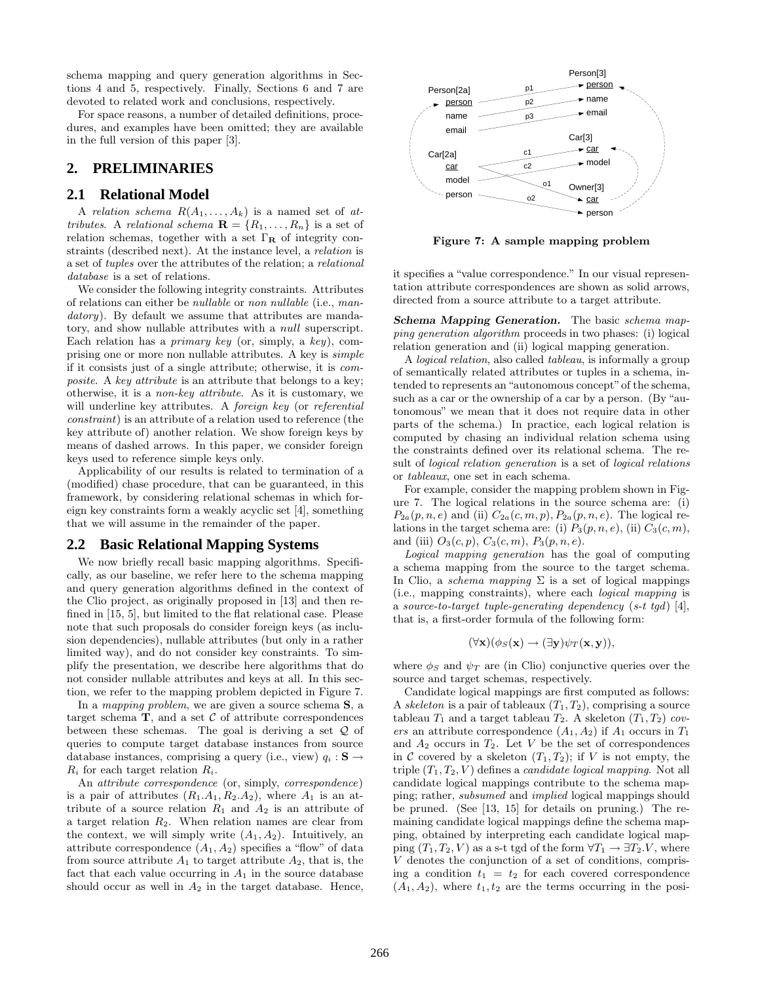schema mapping and query generation algorithms in Sections 4 and 5, respectively. Finally, Sections 6 and 7 are devoted to related work and conclusions, respectively.

For space reasons, a number of detailed definitions, procedures, and examples have been omitted; they are available in the full version of this paper [3].

# **2. PRELIMINARIES**

#### **2.1 Relational Model**

A *relation schema*  $R(A_1, \ldots, A_k)$  is a named set of *attributes*. A *relational schema*  $\mathbf{R} = \{R_1, \ldots, R_n\}$  is a set of relation schemas, together with a set Γ**<sup>R</sup>** of integrity constraints (described next). At the instance level, a *relation* is a set of *tuples* over the attributes of the relation; a *relational database* is a set of relations.

We consider the following integrity constraints. Attributes of relations can either be *nullable* or *non nullable* (i.e., *mandatory*). By default we assume that attributes are mandatory, and show nullable attributes with a null superscript. Each relation has a *primary key* (or, simply, a *key*), comprising one or more non nullable attributes. A key is *simple* if it consists just of a single attribute; otherwise, it is *composite*. A *key attribute* is an attribute that belongs to a key; otherwise, it is a *non-key attribute*. As it is customary, we will underline key attributes. A *foreign key* (or *referential constraint*) is an attribute of a relation used to reference (the key attribute of) another relation. We show foreign keys by means of dashed arrows. In this paper, we consider foreign keys used to reference simple keys only.

Applicability of our results is related to termination of a (modified) chase procedure, that can be guaranteed, in this framework, by considering relational schemas in which foreign key constraints form a weakly acyclic set [4], something that we will assume in the remainder of the paper.

#### **2.2 Basic Relational Mapping Systems**

We now briefly recall basic mapping algorithms. Specifically, as our baseline, we refer here to the schema mapping and query generation algorithms defined in the context of the Clio project, as originally proposed in [13] and then refined in [15, 5], but limited to the flat relational case. Please note that such proposals do consider foreign keys (as inclusion dependencies), nullable attributes (but only in a rather limited way), and do not consider key constraints. To simplify the presentation, we describe here algorithms that do not consider nullable attributes and keys at all. In this section, we refer to the mapping problem depicted in Figure 7.

In a *mapping problem*, we are given a source schema **S**, a target schema  $\mathbf{T}$ , and a set  $\mathcal{C}$  of attribute correspondences between these schemas. The goal is deriving a set  $Q$  of queries to compute target database instances from source database instances, comprising a query (i.e., view)  $q_i : \mathbf{S} \to$  $R_i$  for each target relation  $R_i$ .

An *attribute correspondence* (or, simply, *correspondence*) is a pair of attributes  $(R_1.A_1, R_2.A_2)$ , where  $A_1$  is an attribute of a source relation  $R_1$  and  $A_2$  is an attribute of a target relation  $R_2$ . When relation names are clear from the context, we will simply write  $(A_1, A_2)$ . Intuitively, an attribute correspondence  $(A_1, A_2)$  specifies a "flow" of data from source attribute  $A_1$  to target attribute  $A_2$ , that is, the fact that each value occurring in  $A_1$  in the source database should occur as well in  $A_2$  in the target database. Hence,



**Figure 7: A sample mapping problem**

it specifies a "value correspondence." In our visual representation attribute correspondences are shown as solid arrows, directed from a source attribute to a target attribute.

*Schema Mapping Generation.* The basic *schema mapping generation algorithm* proceeds in two phases: (i) logical relation generation and (ii) logical mapping generation.

A *logical relation*, also called *tableau*, is informally a group of semantically related attributes or tuples in a schema, intended to represents an "autonomous concept" of the schema, such as a car or the ownership of a car by a person. (By "autonomous" we mean that it does not require data in other parts of the schema.) In practice, each logical relation is computed by chasing an individual relation schema using the constraints defined over its relational schema. The result of *logical relation generation* is a set of *logical relations* or *tableaux*, one set in each schema.

For example, consider the mapping problem shown in Figure 7. The logical relations in the source schema are: (i)  $P_{2a}(p, n, e)$  and (ii)  $C_{2a}(c, m, p), P_{2a}(p, n, e)$ . The logical relations in the target schema are: (i)  $P_3(p, n, e)$ , (ii)  $C_3(c, m)$ , and (iii)  $O_3(c, p)$ ,  $C_3(c, m)$ ,  $P_3(p, n, e)$ .

*Logical mapping generation* has the goal of computing a schema mapping from the source to the target schema. In Clio, a *schema mapping*  $\Sigma$  is a set of logical mappings (i.e., mapping constraints), where each *logical mapping* is a *source-to-target tuple-generating dependency* (*s-t tgd*) [4], that is, a first-order formula of the following form:

$$
(\forall \mathbf{x})(\phi_S(\mathbf{x}) \rightarrow (\exists \mathbf{y}) \psi_T(\mathbf{x}, \mathbf{y})),
$$

where  $\phi_S$  and  $\psi_T$  are (in Clio) conjunctive queries over the source and target schemas, respectively.

Candidate logical mappings are first computed as follows: A *skeleton* is a pair of tableaux  $(T_1, T_2)$ , comprising a source tableau  $T_1$  and a target tableau  $T_2$ . A skeleton  $(T_1, T_2)$  *covers* an attribute correspondence  $(A_1, A_2)$  if  $A_1$  occurs in  $T_1$ and  $A_2$  occurs in  $T_2$ . Let V be the set of correspondences in C covered by a skeleton  $(T_1, T_2)$ ; if V is not empty, the triple  $(T_1, T_2, V)$  defines a *candidate logical mapping*. Not all candidate logical mappings contribute to the schema mapping; rather, *subsumed* and *implied* logical mappings should be pruned. (See [13, 15] for details on pruning.) The remaining candidate logical mappings define the schema mapping, obtained by interpreting each candidate logical mapping  $(T_1, T_2, V)$  as a s-t tgd of the form  $\forall T_1 \rightarrow \exists T_2. V$ , where V denotes the conjunction of a set of conditions, comprising a condition  $t_1 = t_2$  for each covered correspondence  $(A_1, A_2)$ , where  $t_1, t_2$  are the terms occurring in the posi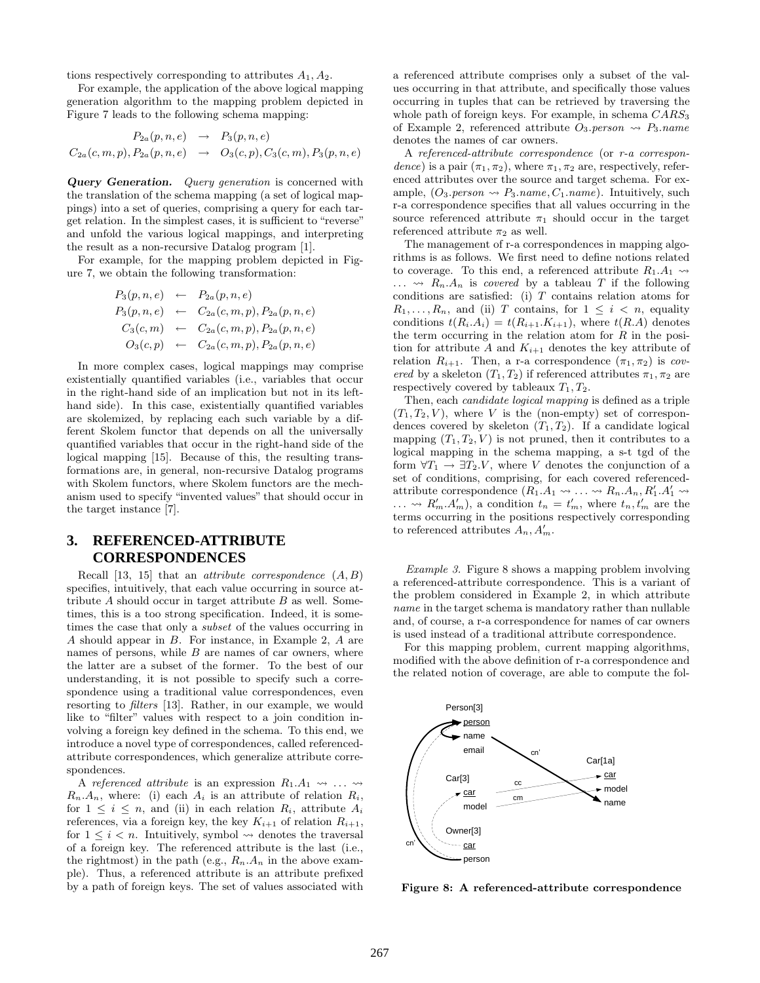tions respectively corresponding to attributes  $A_1, A_2$ .

For example, the application of the above logical mapping generation algorithm to the mapping problem depicted in Figure 7 leads to the following schema mapping:

$$
P_{2a}(p, n, e) \rightarrow P_3(p, n, e)
$$
  

$$
C_{2a}(c, m, p), P_{2a}(p, n, e) \rightarrow O_3(c, p), C_3(c, m), P_3(p, n, e)
$$

*Query Generation. Query generation* is concerned with the translation of the schema mapping (a set of logical mappings) into a set of queries, comprising a query for each target relation. In the simplest cases, it is sufficient to "reverse" and unfold the various logical mappings, and interpreting the result as a non-recursive Datalog program [1].

For example, for the mapping problem depicted in Figure 7, we obtain the following transformation:

$$
P_3(p, n, e) \leftarrow P_{2a}(p, n, e)
$$
  
\n
$$
P_3(p, n, e) \leftarrow C_{2a}(c, m, p), P_{2a}(p, n, e)
$$
  
\n
$$
C_3(c, m) \leftarrow C_{2a}(c, m, p), P_{2a}(p, n, e)
$$
  
\n
$$
O_3(c, p) \leftarrow C_{2a}(c, m, p), P_{2a}(p, n, e)
$$

In more complex cases, logical mappings may comprise existentially quantified variables (i.e., variables that occur in the right-hand side of an implication but not in its lefthand side). In this case, existentially quantified variables are skolemized, by replacing each such variable by a different Skolem functor that depends on all the universally quantified variables that occur in the right-hand side of the logical mapping [15]. Because of this, the resulting transformations are, in general, non-recursive Datalog programs with Skolem functors, where Skolem functors are the mechanism used to specify "invented values" that should occur in the target instance [7].

# **3. REFERENCED-ATTRIBUTE CORRESPONDENCES**

Recall [13, 15] that an *attribute correspondence* (A, B) specifies, intuitively, that each value occurring in source attribute  $A$  should occur in target attribute  $B$  as well. Sometimes, this is a too strong specification. Indeed, it is sometimes the case that only a *subset* of the values occurring in A should appear in B. For instance, in Example 2, A are names of persons, while  $B$  are names of car owners, where the latter are a subset of the former. To the best of our understanding, it is not possible to specify such a correspondence using a traditional value correspondences, even resorting to *filters* [13]. Rather, in our example, we would like to "filter" values with respect to a join condition involving a foreign key defined in the schema. To this end, we introduce a novel type of correspondences, called referencedattribute correspondences, which generalize attribute correspondences.

A *referenced attribute* is an expression  $R_1.A_1 \rightarrow \cdots$  $R_n.A_n$ , where: (i) each  $A_i$  is an attribute of relation  $R_i$ , for  $1 \leq i \leq n$ , and (ii) in each relation  $R_i$ , attribute  $A_i$ references, via a foreign key, the key  $K_{i+1}$  of relation  $R_{i+1}$ , for  $1 \leq i \leq n$ . Intuitively, symbol  $\rightsquigarrow$  denotes the traversal of a foreign key. The referenced attribute is the last (i.e., the rightmost) in the path (e.g.,  $R_n.A_n$  in the above example). Thus, a referenced attribute is an attribute prefixed by a path of foreign keys. The set of values associated with

a referenced attribute comprises only a subset of the values occurring in that attribute, and specifically those values occurring in tuples that can be retrieved by traversing the whole path of foreign keys. For example, in schema  $CARS_3$ of Example 2, referenced attribute  $O_3$ . person  $\rightsquigarrow$  P<sub>3</sub>. name denotes the names of car owners.

A *referenced-attribute correspondence* (or *r-a correspondence*) is a pair  $(\pi_1, \pi_2)$ , where  $\pi_1, \pi_2$  are, respectively, referenced attributes over the source and target schema. For example,  $(O_3.person \rightarrow P_3.name, C_1.name)$ . Intuitively, such r-a correspondence specifies that all values occurring in the source referenced attribute  $\pi_1$  should occur in the target referenced attribute  $\pi_2$  as well.

The management of r-a correspondences in mapping algorithms is as follows. We first need to define notions related to coverage. To this end, a referenced attribute  $R_1.A_1 \rightarrow$  $\ldots \rightarrow R_n.A_n$  is *covered* by a tableau T if the following conditions are satisfied: (i)  $T$  contains relation atoms for  $R_1,\ldots,R_n$ , and (ii) T contains, for  $1 \leq i \leq n$ , equality conditions  $t(R_i.A_i) = t(R_{i+1}.K_{i+1})$ , where  $t(R.A)$  denotes the term occurring in the relation atom for  $R$  in the position for attribute  $A$  and  $K_{i+1}$  denotes the key attribute of relation  $R_{i+1}$ . Then, a r-a correspondence  $(\pi_1, \pi_2)$  is *covered* by a skeleton  $(T_1, T_2)$  if referenced attributes  $\pi_1, \pi_2$  are respectively covered by tableaux  $T_1, T_2$ .

Then, each *candidate logical mapping* is defined as a triple  $(T_1, T_2, V)$ , where V is the (non-empty) set of correspondences covered by skeleton  $(T_1, T_2)$ . If a candidate logical mapping  $(T_1, T_2, V)$  is not pruned, then it contributes to a logical mapping in the schema mapping, a s-t tgd of the form  $\forall T_1 \rightarrow \exists T_2.V$ , where V denotes the conjunction of a set of conditions, comprising, for each covered referencedattribute correspondence  $(R_1, A_1 \leadsto \ldots \leadsto R_n, A_n, R'_1, A'_1 \leadsto R'_1, A'_1 \leadsto R'_1, A'_1 \leadsto R'_1, A'_1 \leadsto R'_1, A'_1 \leadsto R'_1$  $\ldots \rightarrow R'_m, A'_m$ , a condition  $t_n = t'_m$ , where  $t_n, t'_m$  are the terms occurring in the positions respectively corresponding to referenced attributes  $A_n, A'_m$ .

*Example 3.* Figure 8 shows a mapping problem involving a referenced-attribute correspondence. This is a variant of the problem considered in Example 2, in which attribute *name* in the target schema is mandatory rather than nullable and, of course, a r-a correspondence for names of car owners is used instead of a traditional attribute correspondence.

For this mapping problem, current mapping algorithms, modified with the above definition of r-a correspondence and the related notion of coverage, are able to compute the fol-



**Figure 8: A referenced-attribute correspondence**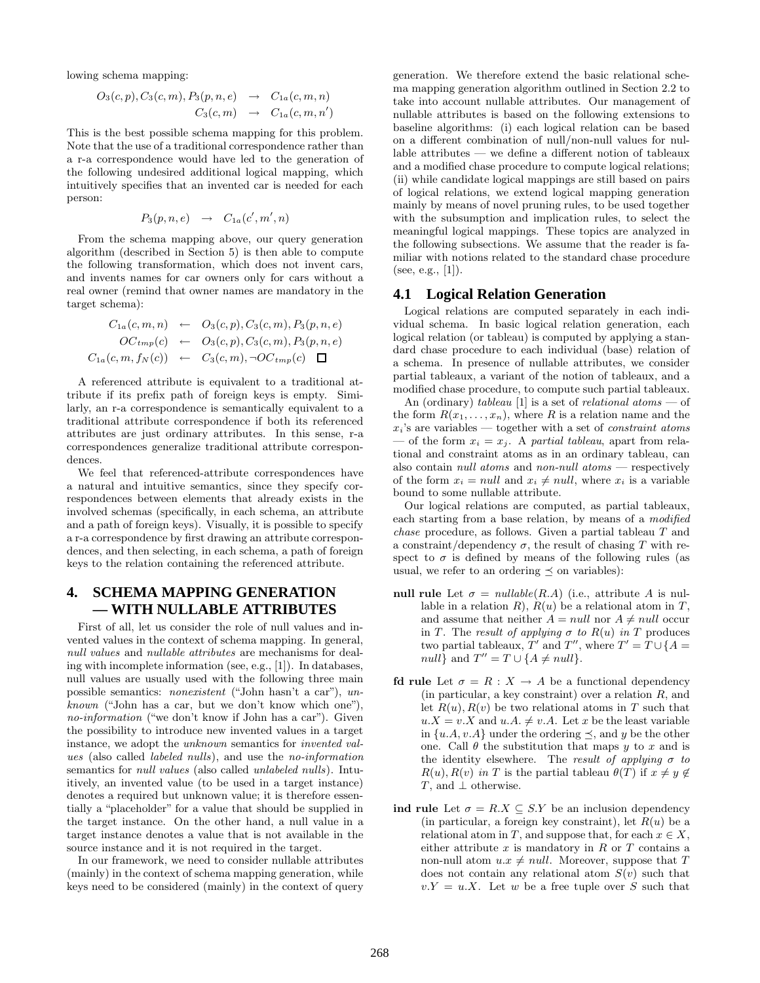lowing schema mapping:

$$
O_3(c, p), C_3(c, m), P_3(p, n, e) \rightarrow C_{1a}(c, m, n)
$$
  

$$
C_3(c, m) \rightarrow C_{1a}(c, m, n')
$$

This is the best possible schema mapping for this problem. Note that the use of a traditional correspondence rather than a r-a correspondence would have led to the generation of the following undesired additional logical mapping, which intuitively specifies that an invented car is needed for each person:

$$
P_3(p,n,e) \rightarrow C_{1a}(c',m',n)
$$

From the schema mapping above, our query generation algorithm (described in Section 5) is then able to compute the following transformation, which does not invent cars, and invents names for car owners only for cars without a real owner (remind that owner names are mandatory in the target schema):

$$
C_{1a}(c, m, n) \leftarrow O_3(c, p), C_3(c, m), P_3(p, n, e)
$$
  
\n
$$
OC_{tmp}(c) \leftarrow O_3(c, p), C_3(c, m), P_3(p, n, e)
$$
  
\n
$$
C_{1a}(c, m, f_N(c)) \leftarrow C_3(c, m), \neg OC_{tmp}(c) \square
$$

A referenced attribute is equivalent to a traditional attribute if its prefix path of foreign keys is empty. Similarly, an r-a correspondence is semantically equivalent to a traditional attribute correspondence if both its referenced attributes are just ordinary attributes. In this sense, r-a correspondences generalize traditional attribute correspondences.

We feel that referenced-attribute correspondences have a natural and intuitive semantics, since they specify correspondences between elements that already exists in the involved schemas (specifically, in each schema, an attribute and a path of foreign keys). Visually, it is possible to specify a r-a correspondence by first drawing an attribute correspondences, and then selecting, in each schema, a path of foreign keys to the relation containing the referenced attribute.

# **4. SCHEMA MAPPING GENERATION — WITH NULLABLE ATTRIBUTES**

First of all, let us consider the role of null values and invented values in the context of schema mapping. In general, *null values* and *nullable attributes* are mechanisms for dealing with incomplete information (see, e.g., [1]). In databases, null values are usually used with the following three main possible semantics: *nonexistent* ("John hasn't a car"), *unknown* ("John has a car, but we don't know which one"), *no-information* ("we don't know if John has a car"). Given the possibility to introduce new invented values in a target instance, we adopt the *unknown* semantics for *invented values* (also called *labeled nulls*), and use the *no-information* semantics for *null values* (also called *unlabeled nulls*). Intuitively, an invented value (to be used in a target instance) denotes a required but unknown value; it is therefore essentially a "placeholder" for a value that should be supplied in the target instance. On the other hand, a null value in a target instance denotes a value that is not available in the source instance and it is not required in the target.

In our framework, we need to consider nullable attributes (mainly) in the context of schema mapping generation, while keys need to be considered (mainly) in the context of query

generation. We therefore extend the basic relational schema mapping generation algorithm outlined in Section 2.2 to take into account nullable attributes. Our management of nullable attributes is based on the following extensions to baseline algorithms: (i) each logical relation can be based on a different combination of null/non-null values for nullable attributes — we define a different notion of tableaux and a modified chase procedure to compute logical relations; (ii) while candidate logical mappings are still based on pairs of logical relations, we extend logical mapping generation mainly by means of novel pruning rules, to be used together with the subsumption and implication rules, to select the meaningful logical mappings. These topics are analyzed in the following subsections. We assume that the reader is familiar with notions related to the standard chase procedure (see, e.g.,  $[1]$ ).

#### **4.1 Logical Relation Generation**

Logical relations are computed separately in each individual schema. In basic logical relation generation, each logical relation (or tableau) is computed by applying a standard chase procedure to each individual (base) relation of a schema. In presence of nullable attributes, we consider partial tableaux, a variant of the notion of tableaux, and a modified chase procedure, to compute such partial tableaux.

An (ordinary) *tableau* [1] is a set of *relational atoms* — of the form  $R(x_1,...,x_n)$ , where R is a relation name and the <sup>x</sup>*i*'s are variables — together with a set of *constraint atoms*  $\sim$  of the form  $x_i = x_j$ . A *partial tableau*, apart from relational and constraint atoms as in an ordinary tableau, can also contain *null atoms* and *non-null atoms* — respectively of the form  $x_i = null$  and  $x_i \neq null$ , where  $x_i$  is a variable bound to some nullable attribute.

Our logical relations are computed, as partial tableaux, each starting from a base relation, by means of a *modified chase* procedure, as follows. Given a partial tableau T and a constraint/dependency  $\sigma$ , the result of chasing T with respect to  $\sigma$  is defined by means of the following rules (as usual, we refer to an ordering  $\prec$  on variables):

- **null rule** Let  $\sigma = \text{nullable}(R.A)$  (i.e., attribute A is nullable in a relation R),  $R(u)$  be a relational atom in T, and assume that neither  $A = null$  nor  $A \neq null$  occur in T. The *result of applying*  $\sigma$  *to*  $R(u)$  *in* T produces two partial tableaux, T' and T'', where  $T' = T \cup \{A =$ null} and  $T'' = T \cup \{A \neq null\}.$
- **fd rule** Let  $\sigma = R : X \to A$  be a functional dependency (in particular, a key constraint) over a relation R, and let  $R(u)$ ,  $R(v)$  be two relational atoms in T such that  $u.X = v.X$  and  $u.A. \neq v.A$ . Let x be the least variable in  $\{u.A, v.A\}$  under the ordering  $\prec$ , and y be the other one. Call  $\theta$  the substitution that maps y to x and is the identity elsewhere. The *result of applying* σ *to*  $R(u)$ ,  $R(v)$  *in* T is the partial tableau  $\theta(T)$  if  $x \neq y \notin$ T, and  $\perp$  otherwise.
- **ind rule** Let  $\sigma = R.X \subseteq S.Y$  be an inclusion dependency (in particular, a foreign key constraint), let  $R(u)$  be a relational atom in T, and suppose that, for each  $x \in X$ , either attribute  $x$  is mandatory in  $R$  or  $T$  contains a non-null atom  $u.x \neq null$ . Moreover, suppose that T does not contain any relational atom  $S(v)$  such that  $v.Y = u.X$ . Let w be a free tuple over S such that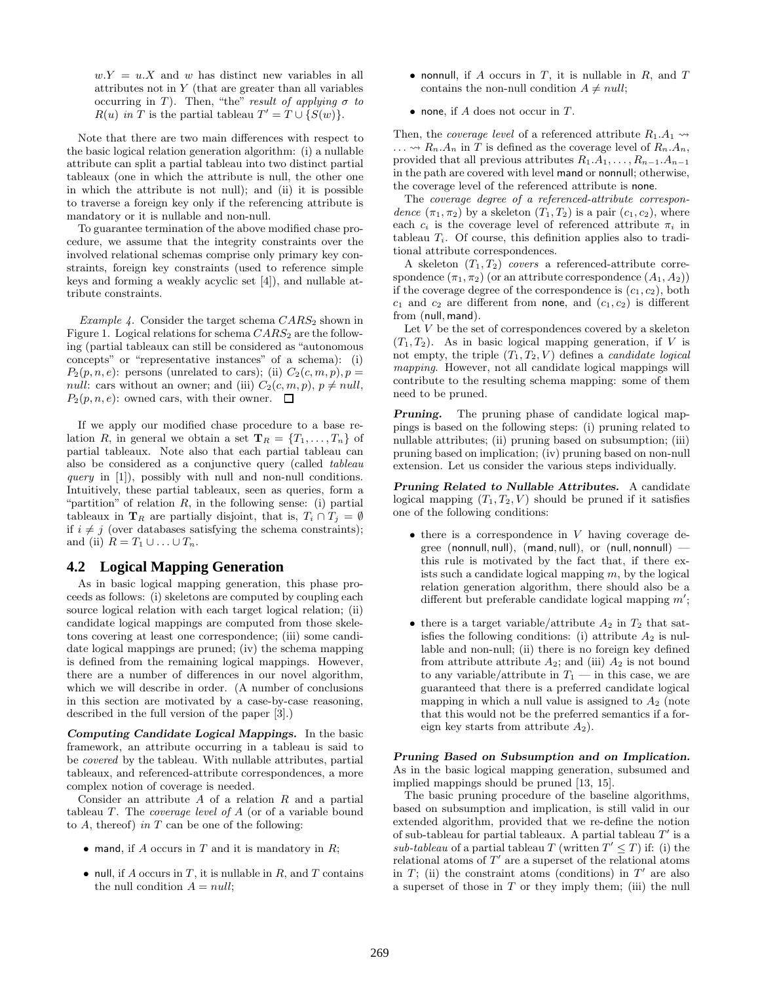$w.Y = u.X$  and w has distinct new variables in all attributes not in Y (that are greater than all variables occurring in T). Then, "the" *result of applying*  $\sigma$  *to*  $R(u)$  *in* T is the partial tableau  $T' = T \cup \{S(w)\}.$ 

Note that there are two main differences with respect to the basic logical relation generation algorithm: (i) a nullable attribute can split a partial tableau into two distinct partial tableaux (one in which the attribute is null, the other one in which the attribute is not null); and (ii) it is possible to traverse a foreign key only if the referencing attribute is mandatory or it is nullable and non-null.

To guarantee termination of the above modified chase procedure, we assume that the integrity constraints over the involved relational schemas comprise only primary key constraints, foreign key constraints (used to reference simple keys and forming a weakly acyclic set [4]), and nullable attribute constraints.

*Example 4.* Consider the target schema  $CARS_2$  shown in Figure 1. Logical relations for schema  $CARS_2$  are the following (partial tableaux can still be considered as "autonomous concepts" or "representative instances" of a schema): (i)  $P_2(p, n, e)$ : persons (unrelated to cars); (ii)  $C_2(c, m, p), p =$ null: cars without an owner; and (iii)  $C_2(c, m, p)$ ,  $p \neq null$ ,  $P_2(p, n, e)$ : owned cars, with their owner.  $\Box$ 

If we apply our modified chase procedure to a base relation R, in general we obtain a set  $\mathbf{T}_R = \{T_1, \ldots, T_n\}$  of partial tableaux. Note also that each partial tableau can also be considered as a conjunctive query (called *tableau query* in [1]), possibly with null and non-null conditions. Intuitively, these partial tableaux, seen as queries, form a "partition" of relation  $R$ , in the following sense: (i) partial tableaux in **T**<sub>*R*</sub> are partially disjoint, that is,  $T_i \cap T_j = \emptyset$ if  $i \neq j$  (over databases satisfying the schema constraints); and (ii)  $R = T_1 \cup \ldots \cup T_n$ .

#### **4.2 Logical Mapping Generation**

As in basic logical mapping generation, this phase proceeds as follows: (i) skeletons are computed by coupling each source logical relation with each target logical relation; (ii) candidate logical mappings are computed from those skeletons covering at least one correspondence; (iii) some candidate logical mappings are pruned; (iv) the schema mapping is defined from the remaining logical mappings. However, there are a number of differences in our novel algorithm, which we will describe in order. (A number of conclusions in this section are motivated by a case-by-case reasoning, described in the full version of the paper [3].)

*Computing Candidate Logical Mappings.* In the basic framework, an attribute occurring in a tableau is said to be *covered* by the tableau. With nullable attributes, partial tableaux, and referenced-attribute correspondences, a more complex notion of coverage is needed.

Consider an attribute  $A$  of a relation  $R$  and a partial tableau T. The *coverage level of* A (or of a variable bound to A, thereof) *in* T can be one of the following:

- mand, if A occurs in T and it is mandatory in  $R$ ;
- null, if A occurs in T, it is nullable in R, and T contains the null condition  $A = null;$

• nonnull, if A occurs in T, it is nullable in R, and  $T$ contains the non-null condition  $A \neq null$ ;

• none, if A does not occur in  $T$ .

Then, the *coverage level* of a referenced attribute  $R_1.A_1 \rightarrow$  $\ldots \rightsquigarrow R_n.A_n$  in  $\overline{T}$  is defined as the coverage level of  $R_n.A_n$ , provided that all previous attributes  $R_1.A_1, \ldots, R_{n-1}.A_{n-1}$ in the path are covered with level mand or nonnull; otherwise, the coverage level of the referenced attribute is none.

The *coverage degree of a referenced-attribute correspondence*  $(\pi_1, \pi_2)$  by a skeleton  $(T_1, T_2)$  is a pair  $(c_1, c_2)$ , where each  $c_i$  is the coverage level of referenced attribute  $\pi_i$  in tableau <sup>T</sup>*i*. Of course, this definition applies also to traditional attribute correspondences.

A skeleton  $(T_1, T_2)$  *covers* a referenced-attribute correspondence  $(\pi_1, \pi_2)$  (or an attribute correspondence  $(A_1, A_2)$ ) if the coverage degree of the correspondence is  $(c_1, c_2)$ , both  $c_1$  and  $c_2$  are different from none, and  $(c_1, c_2)$  is different from (null, mand).

Let  $\boldsymbol{V}$  be the set of correspondences covered by a skeleton  $(T_1, T_2)$ . As in basic logical mapping generation, if V is not empty, the triple  $(T_1, T_2, V)$  defines a *candidate logical mapping*. However, not all candidate logical mappings will contribute to the resulting schema mapping: some of them need to be pruned.

**Pruning.** The pruning phase of candidate logical mappings is based on the following steps: (i) pruning related to nullable attributes; (ii) pruning based on subsumption; (iii) pruning based on implication; (iv) pruning based on non-null extension. Let us consider the various steps individually.

*Pruning Related to Nullable Attributes.* A candidate logical mapping  $(T_1, T_2, V)$  should be pruned if it satisfies one of the following conditions:

- $\bullet$  there is a correspondence in  $V$  having coverage degree (nonnull, null), (mand, null), or (null, nonnull) this rule is motivated by the fact that, if there exists such a candidate logical mapping  $m$ , by the logical relation generation algorithm, there should also be a different but preferable candidate logical mapping  $m'$ ;
- there is a target variable/attribute  $A_2$  in  $T_2$  that satisfies the following conditions: (i) attribute  $A_2$  is nullable and non-null; (ii) there is no foreign key defined from attribute attribute  $A_2$ ; and (iii)  $A_2$  is not bound to any variable/attribute in  $T_1$  — in this case, we are guaranteed that there is a preferred candidate logical mapping in which a null value is assigned to  $A_2$  (note that this would not be the preferred semantics if a foreign key starts from attribute  $A_2$ ).

*Pruning Based on Subsumption and on Implication.* As in the basic logical mapping generation, subsumed and implied mappings should be pruned [13, 15].

The basic pruning procedure of the baseline algorithms, based on subsumption and implication, is still valid in our extended algorithm, provided that we re-define the notion of sub-tableau for partial tableaux. A partial tableau  $T'$  is a *sub-tableau* of a partial tableau T (written  $T' \leq T$ ) if: (i) the relational atoms of  $T'$  are a superset of the relational atoms in  $T$ ; (ii) the constraint atoms (conditions) in  $T'$  are also a superset of those in  $T$  or they imply them; (iii) the null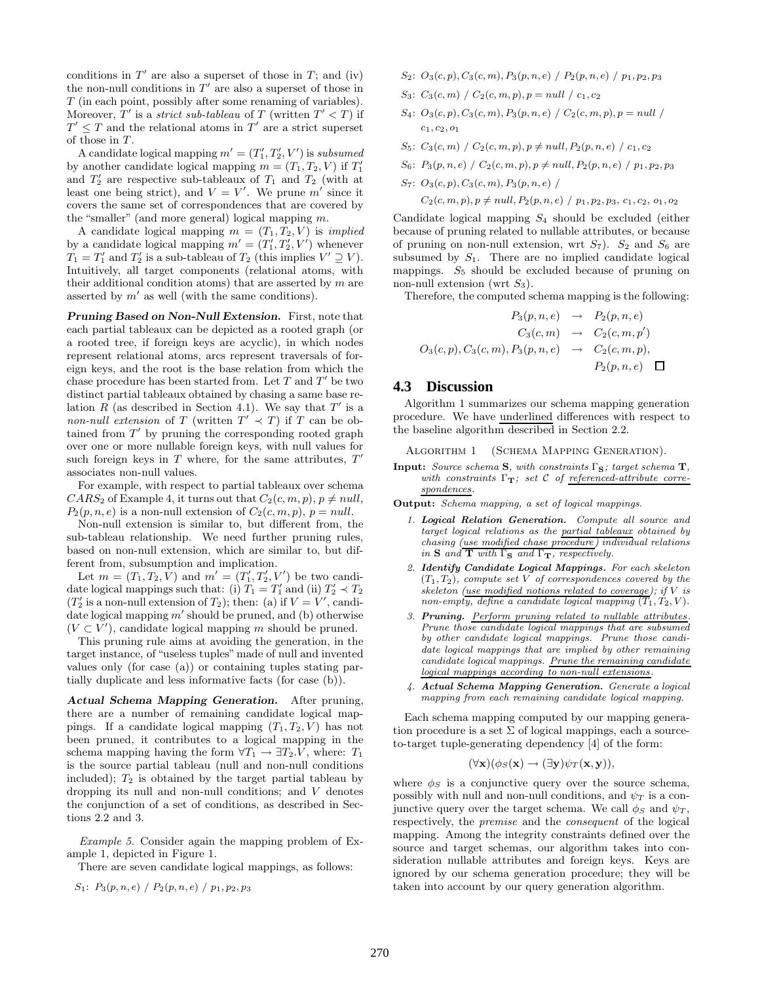conditions in  $T'$  are also a superset of those in  $T$ ; and (iv) the non-null conditions in  $T'$  are also a superset of those in T (in each point, possibly after some renaming of variables). Moreover, T' is a *strict sub-tableau* of T (written  $T' < T$ ) if  $T' \leq T$  and the relational atoms in  $T'$  are a strict superset of those in  $T$ .

A candidate logical mapping  $m' = (T'_1, T'_2, V')$  is *subsumed* by another candidate logical mapping  $m = (T_1, T_2, V)$  if  $T_1'$ and  $T_2'$  are respective sub-tableaux of  $T_1$  and  $T_2$  (with at least one being strict), and  $V = V'$ . We prune m' since it covers the same set of correspondences that are covered by the "smaller" (and more general) logical mapping m.

A candidate logical mapping  $m = (T_1, T_2, V)$  is *implied* by a candidate logical mapping  $m' = (T'_1, T'_2, V')$  whenever  $T_1 = T'_1$  and  $T'_2$  is a sub-tableau of  $T_2$  (this implies  $V' \supseteq V$ ). Intuitively, all target components (relational atoms, with their additional condition atoms) that are asserted by  $m$  are asserted by  $m'$  as well (with the same conditions).

*Pruning Based on Non-Null Extension.* First, note that each partial tableaux can be depicted as a rooted graph (or a rooted tree, if foreign keys are acyclic), in which nodes represent relational atoms, arcs represent traversals of foreign keys, and the root is the base relation from which the chase procedure has been started from. Let  $T$  and  $T'$  be two distinct partial tableaux obtained by chasing a same base relation R (as described in Section 4.1). We say that  $T'$  is a *non-null extension* of T (written  $T' \prec T$ ) if T can be obtained from  $T'$  by pruning the corresponding rooted graph over one or more nullable foreign keys, with null values for such foreign keys in T where, for the same attributes,  $T'$ associates non-null values.

For example, with respect to partial tableaux over schema  $CARS_2$  of Example 4, it turns out that  $C_2(c, m, p), p \neq null$ ,  $P_2(p, n, e)$  is a non-null extension of  $C_2(c, m, p)$ ,  $p = null$ .

Non-null extension is similar to, but different from, the sub-tableau relationship. We need further pruning rules, based on non-null extension, which are similar to, but different from, subsumption and implication.

Let  $m = (T_1, T_2, V)$  and  $m' = (T'_1, T'_2, V')$  be two candidate logical mappings such that: (i)  $T_1 = T'_1$  and (ii)  $T'_2 \prec T_2$  $(T'_2$  is a non-null extension of  $T_2$ ); then: (a) if  $V = V'$ , candidate logical mapping  $m'$  should be pruned, and (b) otherwise  $(V \subset V')$ , candidate logical mapping m should be pruned.

This pruning rule aims at avoiding the generation, in the target instance, of "useless tuples"made of null and invented values only (for case (a)) or containing tuples stating partially duplicate and less informative facts (for case (b)).

*Actual Schema Mapping Generation.* After pruning, there are a number of remaining candidate logical mappings. If a candidate logical mapping  $(T_1, T_2, V)$  has not been pruned, it contributes to a logical mapping in the schema mapping having the form  $\forall T_1 \rightarrow \exists T_2.V$ , where:  $T_1$ is the source partial tableau (null and non-null conditions included);  $T_2$  is obtained by the target partial tableau by dropping its null and non-null conditions; and V denotes the conjunction of a set of conditions, as described in Sections 2.2 and 3.

*Example 5.* Consider again the mapping problem of Example 1, depicted in Figure 1.

There are seven candidate logical mappings, as follows:

$$
S_1: P_3(p, n, e) / P_2(p, n, e) / p_1, p_2, p_3
$$

- *S*<sub>2</sub>:  $O_3(c, p), C_3(c, m), P_3(p, n, e)$  /  $P_2(p, n, e)$  /  $p_1, p_2, p_3$
- *S*<sub>3</sub>:  $C_3(c, m)$  /  $C_2(c, m, p)$ *, p* = *null* /  $c_1$ *, c*<sub>2</sub>
- *S*<sub>4</sub>:  $O_3(c, p), C_3(c, m), P_3(p, n, e)$  /  $C_2(c, m, p), p = null$ *c*1*, c*2*, o*<sup>1</sup>
- *S*<sub>5</sub>: *C*<sub>3</sub>(*c, m*) / *C*<sub>2</sub>(*c, m, p*)*, p*  $\neq$  *null, P*<sub>2</sub>(*p, n, e*) / *c*<sub>1</sub>*, c*<sub>2</sub>
- *S*<sub>6</sub>:  $P_3(p, n, e)$  /  $C_2(c, m, p), p \neq null, P_2(p, n, e)$  /  $p_1, p_2, p_3$
- *S*7: *O*3(*c, p*)*, C*3(*c, m*)*, P*3(*p, n, e*) /  $C_2(c, m, p), p \neq null, P_2(p, n, e) / p_1, p_2, p_3, c_1, c_2, o_1, o_2$

Candidate logical mapping  $S_4$  should be excluded (either because of pruning related to nullable attributes, or because of pruning on non-null extension, wrt  $S_7$ ).  $S_2$  and  $S_6$  are subsumed by  $S_1$ . There are no implied candidate logical mappings.  $S_5$  should be excluded because of pruning on non-null extension (wrt  $S_3$ ).

Therefore, the computed schema mapping is the following:

$$
P_3(p, n, e) \rightarrow P_2(p, n, e)
$$
  
\n
$$
C_3(c, m) \rightarrow C_2(c, m, p')
$$
  
\n
$$
O_3(c, p), C_3(c, m), P_3(p, n, e) \rightarrow C_2(c, m, p),
$$
  
\n
$$
P_2(p, n, e) \square
$$

#### **4.3 Discussion**

Algorithm 1 summarizes our schema mapping generation procedure. We have underlined differences with respect to the baseline algorithm described in Section 2.2.

Algorithm 1 (Schema Mapping Generation). **Input:** *Source schema* **S***, with constraints* Γ**S***; target schema* **T***, with constraints* Γ**T***; set* C *of referenced-attribute correspondences.*

**Output:** *Schema mapping, a set of logical mappings.*

- *1. Logical Relation Generation. Compute all source and target logical relations as the partial tableaux obtained by chasing (use modified chase procedure) individual relations*  $i$ *n* **S** *and* **T** *with*  $\Gamma$ **S** *and*  $\Gamma$ **T***, respectively.*
- *2. Identify Candidate Logical Mappings. For each skeleton*  $(T_1, T_2)$ *, compute set*  $V$  *of correspondences covered by the skeleton (use modified notions related to coverage); if V is non-empty, define a candidate logical mapping*  $(T_1, T_2, V)$ *.*
- *3. Pruning. Perform pruning related to nullable attributes. Prune those candidate logical mappings that are subsumed by other candidate logical mappings. Prune those candidate logical mappings that are implied by other remaining candidate logical mappings. Prune the remaining candidate logical mappings according to non-null extensions.*
- *4. Actual Schema Mapping Generation. Generate a logical mapping from each remaining candidate logical mapping.*

Each schema mapping computed by our mapping generation procedure is a set  $\Sigma$  of logical mappings, each a sourceto-target tuple-generating dependency [4] of the form:

$$
(\forall \mathbf{x})(\phi_S(\mathbf{x}) \rightarrow (\exists \mathbf{y}) \psi_T(\mathbf{x}, \mathbf{y})),
$$

where  $\phi_S$  is a conjunctive query over the source schema, possibly with null and non-null conditions, and  $\psi_T$  is a conjunctive query over the target schema. We call  $\phi_S$  and  $\psi_T$ , respectively, the *premise* and the *consequent* of the logical mapping. Among the integrity constraints defined over the source and target schemas, our algorithm takes into consideration nullable attributes and foreign keys. Keys are ignored by our schema generation procedure; they will be taken into account by our query generation algorithm.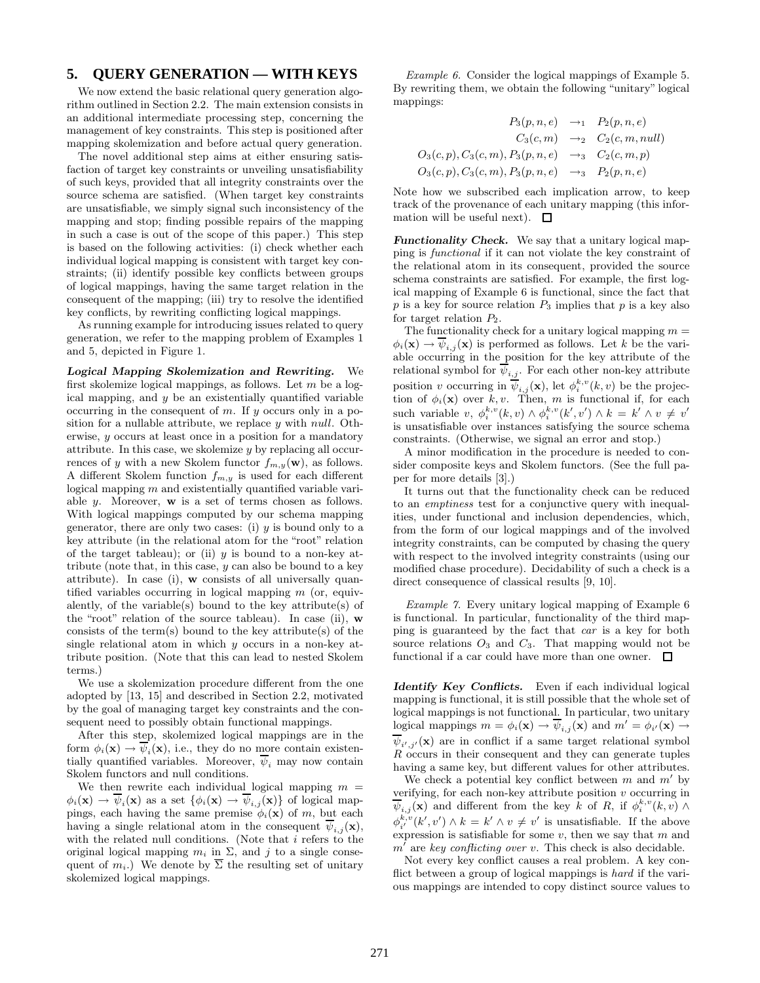## **5. QUERY GENERATION — WITH KEYS**

We now extend the basic relational query generation algorithm outlined in Section 2.2. The main extension consists in an additional intermediate processing step, concerning the management of key constraints. This step is positioned after mapping skolemization and before actual query generation.

The novel additional step aims at either ensuring satisfaction of target key constraints or unveiling unsatisfiability of such keys, provided that all integrity constraints over the source schema are satisfied. (When target key constraints are unsatisfiable, we simply signal such inconsistency of the mapping and stop; finding possible repairs of the mapping in such a case is out of the scope of this paper.) This step is based on the following activities: (i) check whether each individual logical mapping is consistent with target key constraints; (ii) identify possible key conflicts between groups of logical mappings, having the same target relation in the consequent of the mapping; (iii) try to resolve the identified key conflicts, by rewriting conflicting logical mappings.

As running example for introducing issues related to query generation, we refer to the mapping problem of Examples 1 and 5, depicted in Figure 1.

*Logical Mapping Skolemization and Rewriting.* We first skolemize logical mappings, as follows. Let  $m$  be a logical mapping, and  $y$  be an existentially quantified variable occurring in the consequent of  $m$ . If  $y$  occurs only in a position for a nullable attribute, we replace  $y$  with *null*. Otherwise, y occurs at least once in a position for a mandatory attribute. In this case, we skolemize  $y$  by replacing all occurrences of y with a new Skolem functor  $f_{m,y}(\mathbf{w})$ , as follows. A different Skolem function <sup>f</sup>*m,y* is used for each different logical mapping  $m$  and existentially quantified variable variable y. Moreover, **w** is a set of terms chosen as follows. With logical mappings computed by our schema mapping generator, there are only two cases: (i)  $y$  is bound only to a key attribute (in the relational atom for the "root" relation of the target tableau); or (ii)  $y$  is bound to a non-key attribute (note that, in this case,  $y$  can also be bound to a key attribute). In case (i), **w** consists of all universally quantified variables occurring in logical mapping  $m$  (or, equivalently, of the variable(s) bound to the key attribute(s) of the "root" relation of the source tableau). In case (ii), **w** consists of the term(s) bound to the key attribute(s) of the single relational atom in which y occurs in a non-key attribute position. (Note that this can lead to nested Skolem terms.)

We use a skolemization procedure different from the one adopted by [13, 15] and described in Section 2.2, motivated by the goal of managing target key constraints and the consequent need to possibly obtain functional mappings.

After this step, skolemized logical mappings are in the form  $\phi_i(\mathbf{x}) \to \psi_i(\mathbf{x})$ , i.e., they do no more contain existentially quantified variables. Moreover,  $\psi_i$  may now contain Skolom functors and pull conditions Skolem functors and null conditions.

We then rewrite each individual logical mapping  $m =$  $\phi_i(\mathbf{x}) \to \overline{\psi}_i(\mathbf{x})$  as a set  $\{\phi_i(\mathbf{x}) \to \overline{\psi}_{i,j}(\mathbf{x})\}$  of logical mappings, each having the same premise  $\phi_i(\mathbf{x})$  of m, but each having a single relational atom in the consequent  $\psi_{i,j}(\mathbf{x})$ , with the related null conditions. (Note that  $i$  refers to the original logical mapping  $m_i$  in  $\Sigma$ , and j to a single consequent of  $m_i$ .) We denote by  $\overline{\Sigma}$  the resulting set of unitary skolemized logical mappings.

*Example 6.* Consider the logical mappings of Example 5. By rewriting them, we obtain the following "unitary" logical mappings:

$$
P_3(p, n, e) \rightarrow_1 P_2(p, n, e)
$$
  
\n
$$
C_3(c, m) \rightarrow_2 C_2(c, m, null)
$$
  
\n
$$
O_3(c, p), C_3(c, m), P_3(p, n, e) \rightarrow_3 C_2(c, m, p)
$$
  
\n
$$
O_3(c, p), C_3(c, m), P_3(p, n, e) \rightarrow_3 P_2(p, n, e)
$$

Note how we subscribed each implication arrow, to keep track of the provenance of each unitary mapping (this information will be useful next).  $\Box$ 

*Functionality Check.* We say that a unitary logical mapping is *functional* if it can not violate the key constraint of the relational atom in its consequent, provided the source schema constraints are satisfied. For example, the first logical mapping of Example 6 is functional, since the fact that  $p$  is a key for source relation  $P_3$  implies that  $p$  is a key also for target relation  $P_2$ .

The functionality check for a unitary logical mapping  $m =$  $\phi_i(\mathbf{x}) \to \psi_{i,j}(\mathbf{x})$  is performed as follows. Let k be the variable occurring in the position for the key attribute of the relational symbol for  $\psi_{i,j}$ . For each other non-key attribute position v occurring in  $\psi_{i,j}(\mathbf{x})$ , let  $\phi_i^{k,v}(k,v)$  be the projection of  $\phi_i(\mathbf{x})$  over  $k,v$ . Then  $m$  is functional if for each tion of  $\phi_i(\mathbf{x})$  over k, v. Then, m is functional if, for each such variable v,  $\phi_i^{k,v}(k,v) \wedge \phi_i^{k,v}(k',v') \wedge k = k' \wedge v \neq v'$ <br>is unsatisfiable over instances satisfying the source schema is unsatisfiable over instances satisfying the source schema constraints. (Otherwise, we signal an error and stop.)

A minor modification in the procedure is needed to consider composite keys and Skolem functors. (See the full paper for more details [3].)

It turns out that the functionality check can be reduced to an *emptiness* test for a conjunctive query with inequalities, under functional and inclusion dependencies, which, from the form of our logical mappings and of the involved integrity constraints, can be computed by chasing the query with respect to the involved integrity constraints (using our modified chase procedure). Decidability of such a check is a direct consequence of classical results [9, 10].

*Example 7.* Every unitary logical mapping of Example 6 is functional. In particular, functionality of the third mapping is guaranteed by the fact that *car* is a key for both source relations  $O_3$  and  $C_3$ . That mapping would not be functional if a car could have more than one owner.  $\quad \Box$ 

*Identify Key Conflicts.* Even if each individual logical mapping is functional, it is still possible that the whole set of logical mappings is not functional. In particular, two unitary logical mappings  $m = \phi_i(\mathbf{x}) \to \psi_{i,j}(\mathbf{x})$  and  $m' = \phi_{i'}(\mathbf{x}) \to$  $\psi_{i',j'}(\mathbf{x})$  are in conflict if a same target relational symbol  $R$  occurs in their consequent and they can generate tuples having a same key, but different values for other attributes.

We check a potential key conflict between  $m$  and  $m'$  by verifying, for each non-key attribute position  $v$  occurring in  $\psi_{i,j}(\mathbf{x})$  and different from the key k of R, if  $\phi_i^{k,v}(k,v) \wedge$  $\phi_{i'}^{k,v}(k',v') \wedge k = k' \wedge v \neq v'$  is unsatisfiable. If the above  $e_i$ <sup>*i*</sup>, (*i*, *i*, *i*)  $\wedge$  *in* = *i*<sub>1</sub>  $\wedge$  *i*<sub>2</sub>  $\rightarrow$  *i*<sup>6</sup> *i*<sub>2</sub> *i*<sup>6</sup> *i*<sub>2</sub> *i*<sup>6</sup> *i*<sub>2</sub> *i*<sup>6</sup> *i*<sub>4</sub> *i*<sup>6</sup> *i*<sub>4</sub> *i*<sup>6</sup> *i*<sup>6</sup> *i*<sup>6</sup> *i*<sup>6</sup> *i*<sup>6</sup> *i*<sup>6</sup> *i*<sup>6</sup> *i*<sup>6</sup> *i*<sup>6</sup> *i*<sup>6</sup> *i*<sup>6</sup> *i*<sup>6</sup>  $m'$  are *key conflicting over*  $v$ . This check is also decidable.

Not every key conflict causes a real problem. A key conflict between a group of logical mappings is *hard* if the various mappings are intended to copy distinct source values to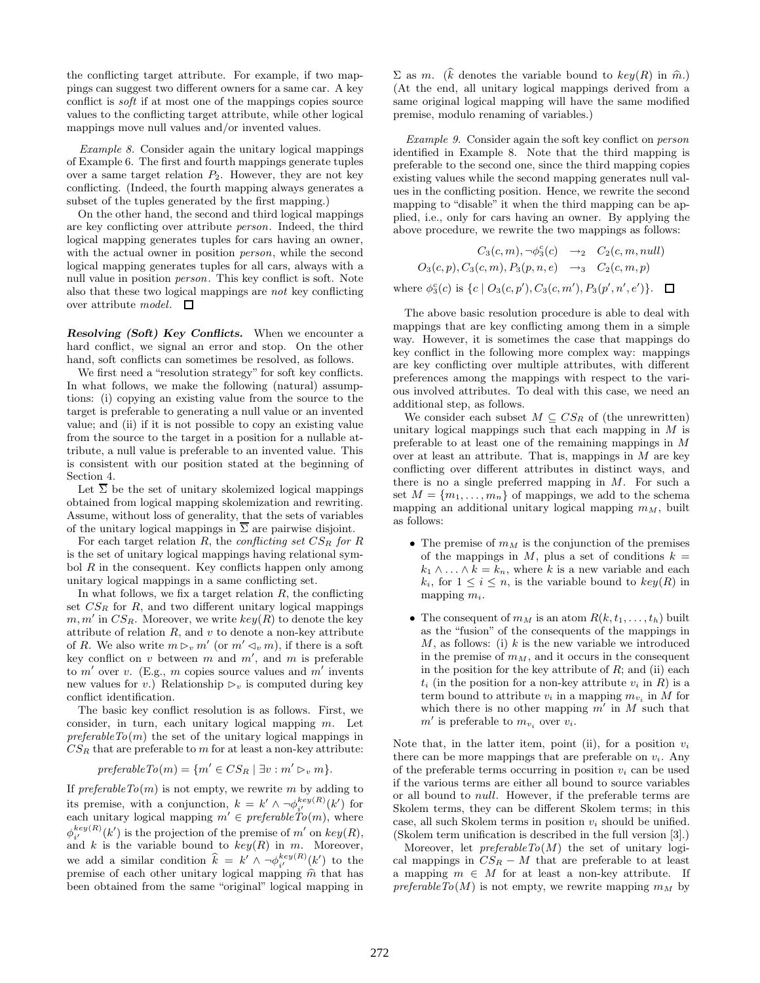the conflicting target attribute. For example, if two mappings can suggest two different owners for a same car. A key conflict is *soft* if at most one of the mappings copies source values to the conflicting target attribute, while other logical mappings move null values and/or invented values.

*Example 8.* Consider again the unitary logical mappings of Example 6. The first and fourth mappings generate tuples over a same target relation  $P_2$ . However, they are not key conflicting. (Indeed, the fourth mapping always generates a subset of the tuples generated by the first mapping.)

On the other hand, the second and third logical mappings are key conflicting over attribute *person*. Indeed, the third logical mapping generates tuples for cars having an owner, with the actual owner in position *person*, while the second logical mapping generates tuples for all cars, always with a null value in position *person*. This key conflict is soft. Note also that these two logical mappings are *not* key conflicting over attribute *model*.

*Resolving (Soft) Key Conflicts.* When we encounter a hard conflict, we signal an error and stop. On the other hand, soft conflicts can sometimes be resolved, as follows.

We first need a "resolution strategy" for soft key conflicts. In what follows, we make the following (natural) assumptions: (i) copying an existing value from the source to the target is preferable to generating a null value or an invented value; and (ii) if it is not possible to copy an existing value from the source to the target in a position for a nullable attribute, a null value is preferable to an invented value. This is consistent with our position stated at the beginning of Section 4.

Let  $\overline{\Sigma}$  be the set of unitary skolemized logical mappings obtained from logical mapping skolemization and rewriting. Assume, without loss of generality, that the sets of variables of the unitary logical mappings in  $\overline{\Sigma}$  are pairwise disjoint.

For each target relation <sup>R</sup>, the *conflicting set* CS*R for* <sup>R</sup> is the set of unitary logical mappings having relational symbol  $R$  in the consequent. Key conflicts happen only among unitary logical mappings in a same conflicting set.

In what follows, we fix a target relation  $R$ , the conflicting set  $CS_R$  for  $R$ , and two different unitary logical mappings  $m, m'$  in  $CS_R$ . Moreover, we write  $key(R)$  to denote the key attribute of relation  $R$ , and  $v$  to denote a non-key attribute of R. We also write  $m \triangleright_v m'$  (or  $m' \triangleleft_v m$ ), if there is a soft key conflict on v between m and  $m'$ , and m is preferable to  $m'$  over v. (E.g., m copies source values and  $m'$  invents new values for v.) Relationship  $\triangleright_v$  is computed during key conflict identification.

The basic key conflict resolution is as follows. First, we consider, in turn, each unitary logical mapping m. Let *preferableTo*(m) the set of the unitary logical mappings in  $CS_R$  that are preferable to  $m$  for at least a non-key attribute:

$$
preferable To(m) = \{m' \in CS_R \mid \exists v : m' \rhd_v m\}.
$$

If  $\text{preferable}\,To(m)$  is not empty, we rewrite m by adding to its premise, with a conjunction,  $k = k' \wedge \neg \phi_{i'}^{key(R)}(k')$  for each unitary logical mapping  $m' \in \text{preferable}$   $To(m)$ , where  $\phi_{i'}^{key(R)}(k')$  is the projection of the premise of m' on  $key(R)$ ,  $\varphi_i$  (*i*) is the projection of the prefinse of *m* on  $\arg(\Omega_i)$ ,<br>and *k* is the variable bound to  $key(R)$  in *m*. Moreover, we add a similar condition  $\hat{k} = k' \wedge \neg \phi_{i'}^{key(R)}(k')$  to the premise of each other unitary logical mapping  $\hat{m}$  that has been obtained from the same "original" logical mapping in been obtained from the same "original" logical mapping in

 $\Sigma$  as m. (k denotes the variable bound to  $key(R)$  in  $\hat{m}$ .)<br>(At the end all unitary logical mannings derived from a (At the end, all unitary logical mappings derived from a same original logical mapping will have the same modified premise, modulo renaming of variables.)

*Example 9.* Consider again the soft key conflict on *person* identified in Example 8. Note that the third mapping is preferable to the second one, since the third mapping copies existing values while the second mapping generates null values in the conflicting position. Hence, we rewrite the second mapping to "disable" it when the third mapping can be applied, i.e., only for cars having an owner. By applying the above procedure, we rewrite the two mappings as follows:

$$
C_3(c, m), \neg \phi_3^c(c) \rightarrow_2 C_2(c, m, null)
$$
  
\n
$$
O_3(c, p), C_3(c, m), P_3(p, n, e) \rightarrow_3 C_2(c, m, p)
$$
  
\nwhere  $\phi_3^c(c)$  is  $\{c \mid O_3(c, p'), C_3(c, m'), P_3(p', n', e')\}$ .  $\square$ 

The above basic resolution procedure is able to deal with mappings that are key conflicting among them in a simple way. However, it is sometimes the case that mappings do key conflict in the following more complex way: mappings are key conflicting over multiple attributes, with different preferences among the mappings with respect to the various involved attributes. To deal with this case, we need an additional step, as follows.

We consider each subset  $M \subseteq CS_R$  of (the unrewritten) unitary logical mappings such that each mapping in  $M$  is preferable to at least one of the remaining mappings in M over at least an attribute. That is, mappings in  $M$  are key conflicting over different attributes in distinct ways, and there is no a single preferred mapping in  $M$ . For such a set  $M = \{m_1, \ldots, m_n\}$  of mappings, we add to the schema mapping an additional unitary logical mapping  $m<sub>M</sub>$ , built as follows:

- The premise of  $m<sub>M</sub>$  is the conjunction of the premises of the mappings in M, plus a set of conditions  $k =$  $k_1 \wedge \ldots \wedge k = k_n$ , where k is a new variable and each  $k_i$ , for  $1 \leq i \leq n$ , is the variable bound to  $key(R)$  in mapping <sup>m</sup>*i*.
- The consequent of  $m_M$  is an atom  $R(k, t_1, \ldots, t_h)$  built as the "fusion" of the consequents of the mappings in  $M$ , as follows: (i)  $k$  is the new variable we introduced in the premise of  $m<sub>M</sub>$ , and it occurs in the consequent in the position for the key attribute of  $R$ ; and (ii) each  $t_i$  (in the position for a non-key attribute  $v_i$  in  $R$ ) is a term bound to attribute  $v_i$  in a mapping  $m_{v_i}$  in M for which there is no other mapping  $m'$  in M such that  $m'$  is preferable to  $m_{v_i}$  over  $v_i$ .

Note that, in the latter item, point (ii), for a position  $v_i$ there can be more mappings that are preferable on  $v_i$ . Any of the preferable terms occurring in position  $v_i$  can be used if the various terms are either all bound to source variables or all bound to null. However, if the preferable terms are Skolem terms, they can be different Skolem terms; in this case, all such Skolem terms in position <sup>v</sup>*i* should be unified. (Skolem term unification is described in the full version [3].)

Moreover, let *preferableTo*(M) the set of unitary logical mappings in  $CS_R - M$  that are preferable to at least a mapping  $m \in M$  for at least a non-key attribute. If  $\text{preferableTo}(M)$  is not empty, we rewrite mapping  $m_M$  by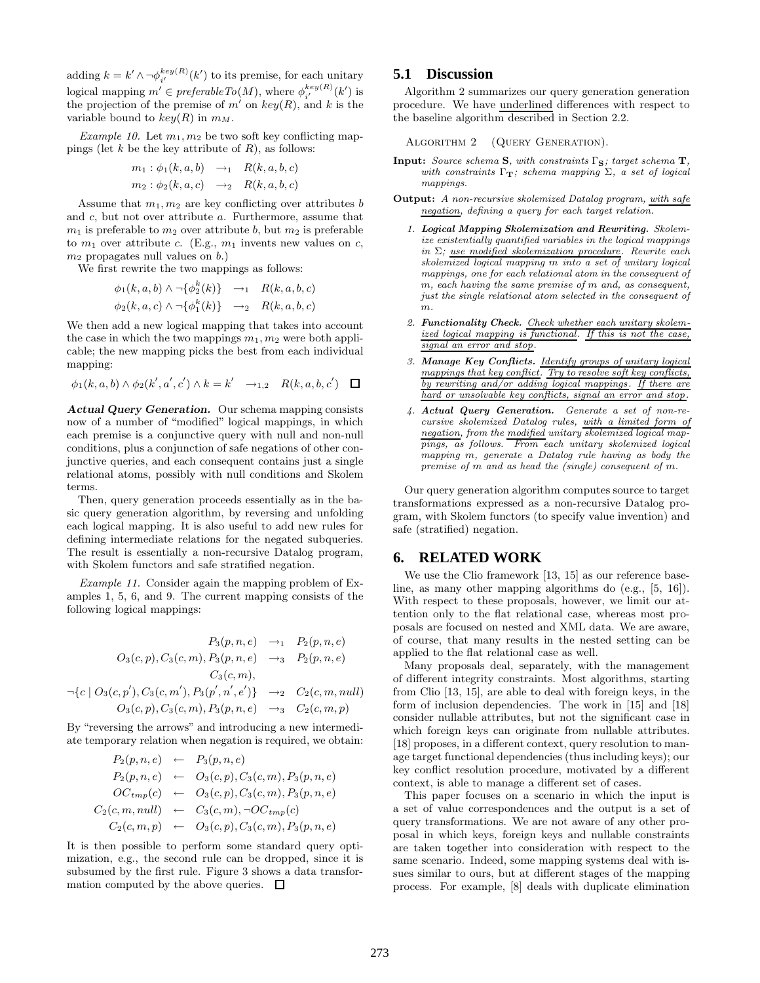adding  $k = k' \wedge \neg \phi_{i'}^{key(R)}(k')$  to its premise, for each unitary  $\log$ io is preferable  $T_0(M)$ , where  $\phi_{i'}^{key(R)}(k')$  is  $\log$  is  $\log P_0(M)$ , where  $\phi_{i'}^{key(R)}(k')$  is the projection of the premise of m' on  $key(R)$ , and k is the variable bound to  $key(R)$  in  $m_M$ .

*Example 10.* Let  $m_1, m_2$  be two soft key conflicting mappings (let  $k$  be the key attribute of  $R$ ), as follows:

$$
m_1: \phi_1(k, a, b) \rightarrow_1 R(k, a, b, c)
$$
  

$$
m_2: \phi_2(k, a, c) \rightarrow_2 R(k, a, b, c)
$$

Assume that  $m_1, m_2$  are key conflicting over attributes b and c, but not over attribute a. Furthermore, assume that  $m_1$  is preferable to  $m_2$  over attribute b, but  $m_2$  is preferable to  $m_1$  over attribute c. (E.g.,  $m_1$  invents new values on c,  $m_2$  propagates null values on b.)

We first rewrite the two mappings as follows:

$$
\begin{aligned}\n\phi_1(k, a, b) \wedge \neg \{\phi_2^k(k)\} &\rightarrow_1 R(k, a, b, c) \\
\phi_2(k, a, c) \wedge \neg \{\phi_1^k(k)\} &\rightarrow_2 R(k, a, b, c)\n\end{aligned}
$$

We then add a new logical mapping that takes into account the case in which the two mappings  $m_1, m_2$  were both applicable; the new mapping picks the best from each individual mapping:

$$
\phi_1(k, a, b) \wedge \phi_2(k', a', c') \wedge k = k' \quad \to_{1,2} \quad R(k, a, b, c') \quad \Box
$$

*Actual Query Generation.* Our schema mapping consists now of a number of "modified" logical mappings, in which each premise is a conjunctive query with null and non-null conditions, plus a conjunction of safe negations of other conjunctive queries, and each consequent contains just a single relational atoms, possibly with null conditions and Skolem terms.

Then, query generation proceeds essentially as in the basic query generation algorithm, by reversing and unfolding each logical mapping. It is also useful to add new rules for defining intermediate relations for the negated subqueries. The result is essentially a non-recursive Datalog program, with Skolem functors and safe stratified negation.

*Example 11.* Consider again the mapping problem of Examples 1, 5, 6, and 9. The current mapping consists of the following logical mappings:

$$
P_3(p, n, e) \rightarrow_1 P_2(p, n, e)
$$
  
\n
$$
O_3(c, p), C_3(c, m), P_3(p, n, e) \rightarrow_3 P_2(p, n, e)
$$
  
\n
$$
C_3(c, m),
$$
  
\n
$$
\neg \{c \mid O_3(c, p'), C_3(c, m'), P_3(p', n', e')\} \rightarrow_2 C_2(c, m, null)
$$
  
\n
$$
O_3(c, p), C_3(c, m), P_3(p, n, e) \rightarrow_3 C_2(c, m, p)
$$

By "reversing the arrows" and introducing a new intermediate temporary relation when negation is required, we obtain:

$$
P_2(p, n, e) \leftarrow P_3(p, n, e)
$$
  
\n
$$
P_2(p, n, e) \leftarrow O_3(c, p), C_3(c, m), P_3(p, n, e)
$$
  
\n
$$
OC_{tmp}(c) \leftarrow O_3(c, p), C_3(c, m), P_3(p, n, e)
$$
  
\n
$$
C_2(c, m, null) \leftarrow C_3(c, m), \neg OC_{tmp}(c)
$$
  
\n
$$
C_2(c, m, p) \leftarrow O_3(c, p), C_3(c, m), P_3(p, n, e)
$$

It is then possible to perform some standard query optimization, e.g., the second rule can be dropped, since it is subsumed by the first rule. Figure 3 shows a data transformation computed by the above queries.  $\Box$ 

### **5.1 Discussion**

Algorithm 2 summarizes our query generation generation procedure. We have underlined differences with respect to the baseline algorithm described in Section 2.2.

 $\alpha$  (Query Generation).

- **Input:** *Source schema* **S***, with constraints* Γ**S***; target schema* **T***, with constraints* Γ**T***; schema mapping* Σ*, a set of logical mappings.*
- **Output:** *A non-recursive skolemized Datalog program, with safe negation, defining a query for each target relation.*
	- *1. Logical Mapping Skolemization and Rewriting. Skolemize existentially quantified variables in the logical mappings in* Σ*; use modified skolemization procedure. Rewrite each skolemized logical mapping m into a set of unitary logical mappings, one for each relational atom in the consequent of m, each having the same premise of m and, as consequent, just the single relational atom selected in the consequent of m.*
	- *2. Functionality Check. Check whether each unitary skolemized logical mapping is functional. If this is not the case, signal an error and stop.*
	- *3. Manage Key Conflicts. Identify groups of unitary logical mappings that key conflict. Try to resolve soft key conflicts, by rewriting and/or adding logical mappings . If there are hard or unsolvable key conflicts, signal an error and stop .*
	- *4. Actual Query Generation. Generate a set of non-recursive skolemized Datalog rules, with a limited form of negation, from the modified unitary skolemized logical mappings, as follows. From each unitary skolemized logical mapping m, generate a Datalog rule having as body the premise of m and as head the (single) consequent of m.*

Our query generation algorithm computes source to target transformations expressed as a non-recursive Datalog program, with Skolem functors (to specify value invention) and safe (stratified) negation.

#### **6. RELATED WORK**

We use the Clio framework [13, 15] as our reference baseline, as many other mapping algorithms do (e.g., [5, 16]). With respect to these proposals, however, we limit our attention only to the flat relational case, whereas most proposals are focused on nested and XML data. We are aware, of course, that many results in the nested setting can be applied to the flat relational case as well.

Many proposals deal, separately, with the management of different integrity constraints. Most algorithms, starting from Clio [13, 15], are able to deal with foreign keys, in the form of inclusion dependencies. The work in [15] and [18] consider nullable attributes, but not the significant case in which foreign keys can originate from nullable attributes. [18] proposes, in a different context, query resolution to manage target functional dependencies (thus including keys); our key conflict resolution procedure, motivated by a different context, is able to manage a different set of cases.

This paper focuses on a scenario in which the input is a set of value correspondences and the output is a set of query transformations. We are not aware of any other proposal in which keys, foreign keys and nullable constraints are taken together into consideration with respect to the same scenario. Indeed, some mapping systems deal with issues similar to ours, but at different stages of the mapping process. For example, [8] deals with duplicate elimination